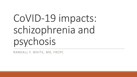# CoVID-19 impacts: schizophrenia and psychosis

RANDALL F. WHITE, MD, FRCPC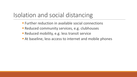### Isolation and social distancing

- **Further reduction in available social connections**
- Reduced community services, e.g. clubhouses
- Reduced mobility, e.g. less transit service
- At baseline, less access to internet and mobile phones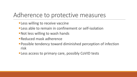#### Adherence to protective measures

- **ELESS willing to receive vaccine**
- **Eless able to remain in confinement or self-isolation**
- Not less willing to wash hands
- **Reduced mask adherence**
- ■Possible tendency toward diminished perception of infection risk
- Less access to primary care, possibly CoVID tests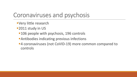#### Coronaviruses and psychosis

- **•Very little research**
- ■2011 study in US
	- ■106 people with psychosis, 196 controls
	- ■Antibodies indicating previous infections
	- ■4 coronaviruses (not CoVID-19) more common compared to controls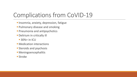## Complications from CoVID-19

- **· Insomnia, anxiety, depression, fatigue**
- **Pulmonary disease and smoking**
- **Pneumonia and antipsychotics**
- **Delirium in critically ill** 
	- 30%+ in ICU
- **Medication interactions**
- **Steroids and psychosis**
- § Meningoencephalitis
- Stroke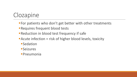## Clozapine

- For patients who don't get better with other treatments
- Requires frequent blood tests
- Reduction in blood test frequency if safe
- Acute infection  $=$  risk of higher blood levels, toxicity
	- **Sedation**
	- ■Seizures
	- §Pneumonia